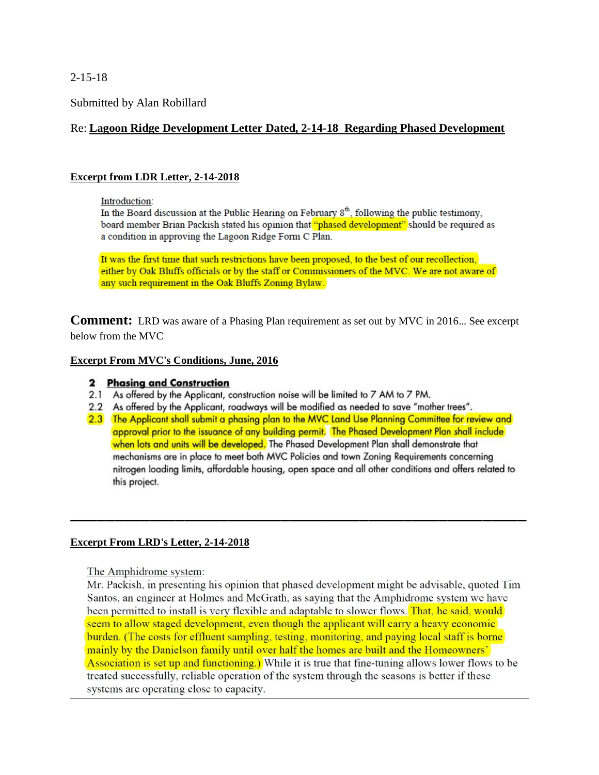2-15-18

Submitted by Alan Robillard

# Re: **Lagoon Ridge Development Letter Dated, 2-14-18 Regarding Phased Development**

# **Excerpt from LDR Letter, 2-14-2018**

#### Introduction:

In the Board discussion at the Public Hearing on February  $8<sup>th</sup>$ , following the public testimony, board member Brian Packish stated his opinion that "phased development" should be required as a condition in approving the Lagoon Ridge Form C Plan.

It was the first time that such restrictions have been proposed, to the best of our recollection, either by Oak Bluffs officials or by the staff or Commissioners of the MVC. We are not aware of any such requirement in the Oak Bluffs Zoning Bylaw.

**Comment:** LRD was aware of a Phasing Plan requirement as set out by MVC in 2016... See excerpt below from the MVC

### **Excerpt From MVC's Conditions, June, 2016**

## 2 Phasing and Construction

- 2.1 As offered by the Applicant, construction noise will be limited to 7 AM to 7 PM.
- 2.2 As offered by the Applicant, roadways will be modified as needed to save "mother trees".
- 2.3 The Applicant shall submit a phasing plan to the MVC Land Use Planning Committee for review and approval prior to the issuance of any building permit. The Phased Development Plan shall include when lots and units will be developed. The Phased Development Plan shall demonstrate that mechanisms are in place to meet both MVC Policies and town Zoning Requirements concerning nitrogen loading limits, affordable housing, open space and all other conditions and offers related to this project.

**\_\_\_\_\_\_\_\_\_\_\_\_\_\_\_\_\_\_\_\_\_\_\_\_\_\_\_\_\_\_\_\_\_\_\_\_\_\_\_\_\_\_\_\_\_\_\_\_\_\_\_\_**

### **Excerpt From LRD's Letter, 2-14-2018**

The Amphidrome system:

Mr. Packish, in presenting his opinion that phased development might be advisable, quoted Tim Santos, an engineer at Holmes and McGrath, as saying that the Amphidrome system we have been permitted to install is very flexible and adaptable to slower flows. That, he said, would seem to allow staged development, even though the applicant will carry a heavy economic burden. (The costs for effluent sampling, testing, monitoring, and paying local staff is borne mainly by the Danielson family until over half the homes are built and the Homeowners' Association is set up and functioning.) While it is true that fine-tuning allows lower flows to be treated successfully, reliable operation of the system through the seasons is better if these systems are operating close to capacity.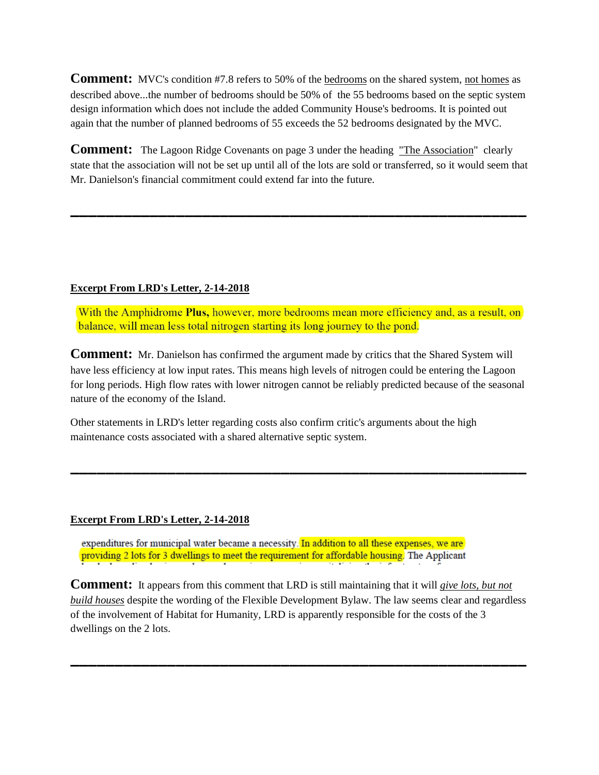Comment: MVC's condition #7.8 refers to 50% of the bedrooms on the shared system, not homes as described above...the number of bedrooms should be 50% of the 55 bedrooms based on the septic system design information which does not include the added Community House's bedrooms. It is pointed out again that the number of planned bedrooms of 55 exceeds the 52 bedrooms designated by the MVC.

Comment: The Lagoon Ridge Covenants on page 3 under the heading "The Association" clearly state that the association will not be set up until all of the lots are sold or transferred, so it would seem that Mr. Danielson's financial commitment could extend far into the future.

**\_\_\_\_\_\_\_\_\_\_\_\_\_\_\_\_\_\_\_\_\_\_\_\_\_\_\_\_\_\_\_\_\_\_\_\_\_\_\_\_\_\_\_\_\_\_\_\_\_\_\_\_**

# **Excerpt From LRD's Letter, 2-14-2018**

With the Amphidrome Plus, however, more bedrooms mean more efficiency and, as a result, on balance, will mean less total nitrogen starting its long journey to the pond.

**Comment:** Mr. Danielson has confirmed the argument made by critics that the Shared System will have less efficiency at low input rates. This means high levels of nitrogen could be entering the Lagoon for long periods. High flow rates with lower nitrogen cannot be reliably predicted because of the seasonal nature of the economy of the Island.

**\_\_\_\_\_\_\_\_\_\_\_\_\_\_\_\_\_\_\_\_\_\_\_\_\_\_\_\_\_\_\_\_\_\_\_\_\_\_\_\_\_\_\_\_\_\_\_\_\_\_\_\_**

Other statements in LRD's letter regarding costs also confirm critic's arguments about the high maintenance costs associated with a shared alternative septic system.

### **Excerpt From LRD's Letter, 2-14-2018**

expenditures for municipal water became a necessity. In addition to all these expenses, we are providing 2 lots for 3 dwellings to meet the requirement for affordable housing. The Applicant

**Comment:** It appears from this comment that LRD is still maintaining that it will *give lots, but not build houses* despite the wording of the Flexible Development Bylaw. The law seems clear and regardless of the involvement of Habitat for Humanity, LRD is apparently responsible for the costs of the 3 dwellings on the 2 lots.

**\_\_\_\_\_\_\_\_\_\_\_\_\_\_\_\_\_\_\_\_\_\_\_\_\_\_\_\_\_\_\_\_\_\_\_\_\_\_\_\_\_\_\_\_\_\_\_\_\_\_\_\_**